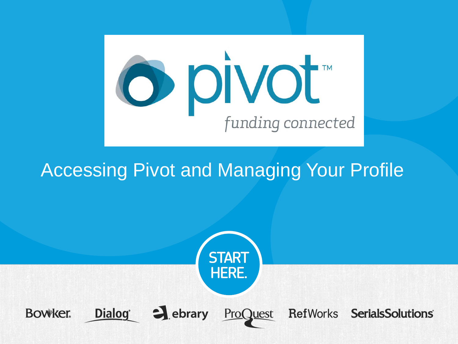

# Accessing Pivot and Managing Your Profile

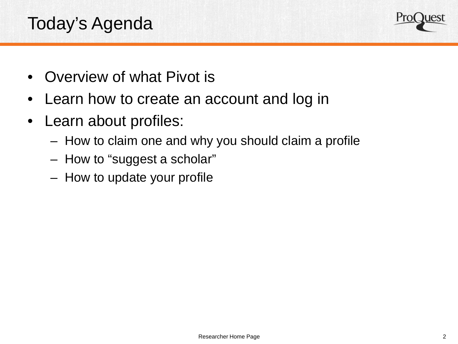## Today's Agenda



- Overview of what Pivot is
- Learn how to create an account and log in
- Learn about profiles:
	- How to claim one and why you should claim a profile
	- How to "suggest a scholar"
	- How to update your profile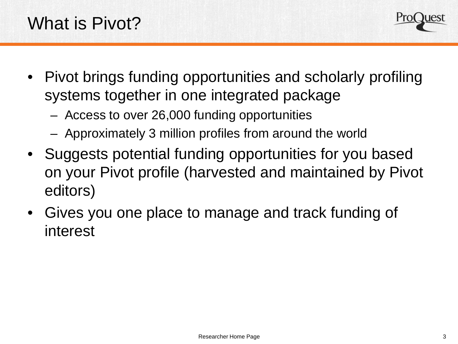

- Pivot brings funding opportunities and scholarly profiling systems together in one integrated package
	- Access to over 26,000 funding opportunities
	- Approximately 3 million profiles from around the world
- Suggests potential funding opportunities for you based on your Pivot profile (harvested and maintained by Pivot editors)
- Gives you one place to manage and track funding of interest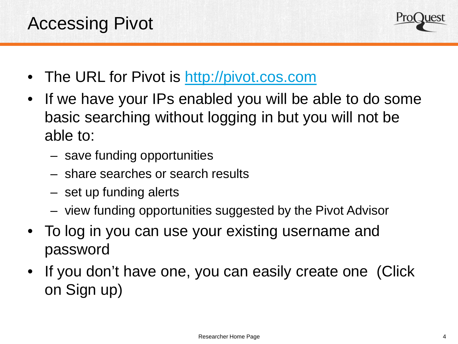

- The URL for Pivot is [http://pivot.cos.com](http://pivot.cos.com/)
- If we have your IPs enabled you will be able to do some basic searching without logging in but you will not be able to:
	- save funding opportunities
	- share searches or search results
	- set up funding alerts
	- view funding opportunities suggested by the Pivot Advisor
- To log in you can use your existing username and password
- If you don't have one, you can easily create one (Click on Sign up)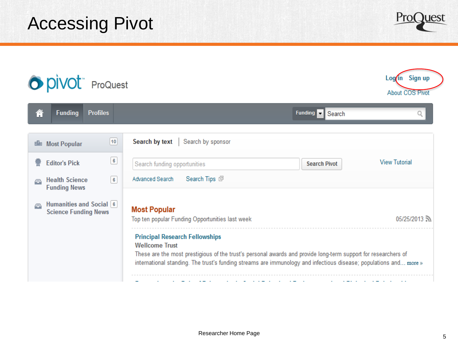Accessing Pivot

O **pivot** ProQuest

徻 **Funding Profiles** Funding **v** Search Search by sponsor  $10$ Search by text **Bla** Most Popular  $\sqrt{6}$ **Editor's Pick View Tutorial** Search funding opportunities **Search Pivot**  $\sqrt{6}$ Advanced Search Search Tips 回 **Health Science** e **Funding News** Humanities and Social 6 ⊜ **Most Popular Science Funding News** Top ten popular Funding Opportunities last week 05/25/2013 **Principal Research Fellowships Wellcome Trust** These are the most prestigious of the trust's personal awards and provide long-term support for researchers of international standing. The trust's funding streams are immunology and infectious disease; populations and... more »

Log in Sign up **About COS Pivot** 

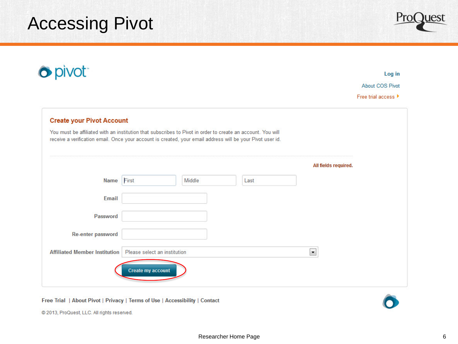# Accessing Pivot



|                                  |                   |                              |                                                                                                             | Log in                                                                                                                             |
|----------------------------------|-------------------|------------------------------|-------------------------------------------------------------------------------------------------------------|------------------------------------------------------------------------------------------------------------------------------------|
|                                  |                   |                              |                                                                                                             | <b>About COS Pivot</b>                                                                                                             |
|                                  |                   |                              |                                                                                                             | Free trial access ▶                                                                                                                |
| <b>Create your Pivot Account</b> |                   |                              |                                                                                                             |                                                                                                                                    |
|                                  |                   |                              |                                                                                                             |                                                                                                                                    |
|                                  |                   |                              |                                                                                                             |                                                                                                                                    |
| First                            | Middle            | Last                         |                                                                                                             |                                                                                                                                    |
|                                  |                   |                              |                                                                                                             |                                                                                                                                    |
|                                  |                   |                              |                                                                                                             |                                                                                                                                    |
|                                  |                   |                              |                                                                                                             |                                                                                                                                    |
|                                  |                   |                              | $\blacksquare$                                                                                              |                                                                                                                                    |
|                                  |                   |                              |                                                                                                             |                                                                                                                                    |
|                                  | Create my account | Please select an institution | You must be affiliated with an institution that subscribes to Pivot in order to create an account. You will | receive a verification email. Once your account is created, your email address will be your Pivot user id.<br>All fields required. |

Free Trial | About Pivot | Privacy | Terms of Use | Accessibility | Contact



@ 2013, ProQuest, LLC. All rights reserved.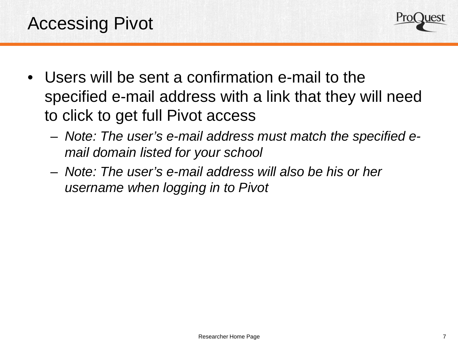

- Users will be sent a confirmation e-mail to the specified e-mail address with a link that they will need to click to get full Pivot access
	- *Note: The user's e-mail address must match the specified email domain listed for your school*
	- *Note: The user's e-mail address will also be his or her username when logging in to Pivot*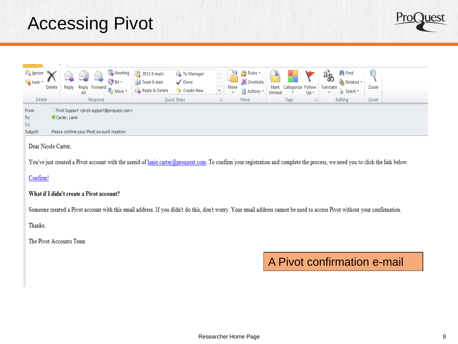# Accessing Pivot

| Ignore<br>Junk *<br>Delete<br>Delete | Meeting<br><b>Commercial</b><br><b>©</b> ™*<br>Reply<br>Reply Forward<br><sub>■</sub> More ▼<br>All<br>Respond                           | 23 2013 E-mails<br>To Manager<br>Team E-mail<br>$\sqrt{}$ Done<br>Reply & Delete<br>% Create New<br>Quick Steps | - 13 | <sup>2</sup> Rules *<br>N OneNote<br>Move<br><mark>∷</mark> Actions ▼<br>Move | Categorize Follow<br>Mark<br>$Up -$<br>Unread<br>Tags<br>la . | <b>角 Find</b><br>$a_{\bar{\phi}}$<br>$\mathbf{A}$ Related $\mathbf{v}$<br>Translate<br>√ Select *<br>Ψ.<br>Editing | C<br>Zoom<br>Zoom |
|--------------------------------------|------------------------------------------------------------------------------------------------------------------------------------------|-----------------------------------------------------------------------------------------------------------------|------|-------------------------------------------------------------------------------|---------------------------------------------------------------|--------------------------------------------------------------------------------------------------------------------|-------------------|
| From:<br>To:<br>Cc.<br>Subject:      | Pivot Support <pivot.support@proquest.com><br/>Carter, Lanie<br/>Please confirm your Pivot account creation</pivot.support@proquest.com> |                                                                                                                 |      |                                                                               |                                                               |                                                                                                                    |                   |

### Dear Nicole Carter,

You've just created a Pivot account with the userid of lanie.carter@proquest.com. To confirm your registration and complete the process, we need you to click the link below.

#### Confirm!

### What if I didn't create a Pivot account?

Someone created a Pivot account with this email address. If you didn't do this, don't worry. Your email address cannot be used to access Pivot without your confirmation.

Thanks,

The Pivot Accounts Team

## A Pivot confirmation e-mail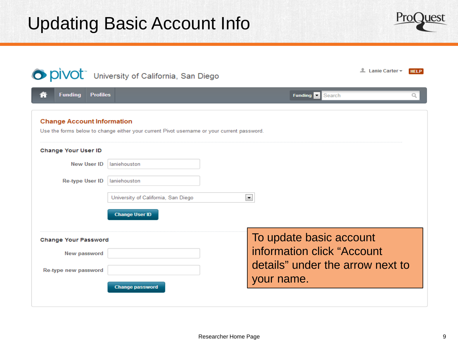

|                                        | O DIVOL University of California, San Diego                                                | 上 Lanie Carter –                 | <b>HELP</b> |
|----------------------------------------|--------------------------------------------------------------------------------------------|----------------------------------|-------------|
| ⋒<br><b>Funding</b><br><b>Profiles</b> |                                                                                            | Funding <b>v</b><br>Search       | Q           |
| <b>Change Account Information</b>      | Use the forms below to change either your current Pivot username or your current password. |                                  |             |
| <b>Change Your User ID</b>             |                                                                                            |                                  |             |
| <b>New User ID</b>                     | laniehouston                                                                               |                                  |             |
| <b>Re-type User ID</b>                 | laniehouston                                                                               |                                  |             |
|                                        | University of California, San Diego                                                        | $\blacktriangledown$             |             |
|                                        | <b>Change User ID</b>                                                                      |                                  |             |
| <b>Change Your Password</b>            |                                                                                            | To update basic account          |             |
| New password                           |                                                                                            | information click "Account       |             |
| Re-type new password                   |                                                                                            | details" under the arrow next to |             |
|                                        | <b>Change password</b>                                                                     | your name.                       |             |
|                                        |                                                                                            |                                  |             |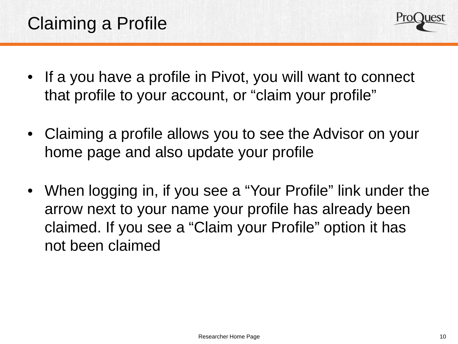

- If a you have a profile in Pivot, you will want to connect that profile to your account, or "claim your profile"
- Claiming a profile allows you to see the Advisor on your home page and also update your profile
- When logging in, if you see a "Your Profile" link under the arrow next to your name your profile has already been claimed. If you see a "Claim your Profile" option it has not been claimed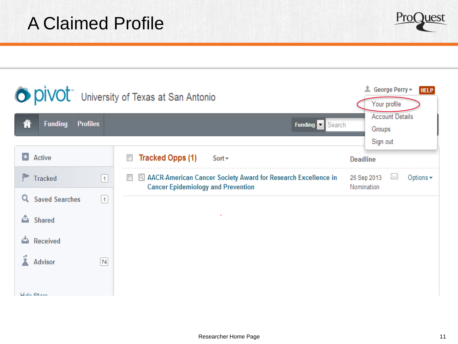

|                                         | O DIVOL University of Texas at San Antonio                                                                                  | George Perry -<br><b>HELP</b><br>Your profile     |
|-----------------------------------------|-----------------------------------------------------------------------------------------------------------------------------|---------------------------------------------------|
| 谷<br><b>Funding</b><br><b>Profiles</b>  | <b>Funding</b><br>Search                                                                                                    | <b>Account Details</b><br>Groups<br>Sign out      |
| $\star$<br>Active                       | <b>Tracked Opps (1)</b><br>$\overline{\phantom{a}}$<br>$Sort -$                                                             | <b>Deadline</b>                                   |
| <b>Tracked</b><br>$\vert$ 1             | AACR-American Cancer Society Award for Research Excellence in<br>$\mathcal{C}$<br><b>Cancer Epidemiology and Prevention</b> | M<br>Options $\star$<br>26 Sep 2013<br>Nomination |
| Q<br><b>Saved Searches</b><br>$\vert$ 1 |                                                                                                                             |                                                   |
| ۵<br>Shared                             |                                                                                                                             |                                                   |
| <b>Received</b><br>۵                    |                                                                                                                             |                                                   |
| Advisor<br>${\bf 74}$<br>Llida filtons  |                                                                                                                             |                                                   |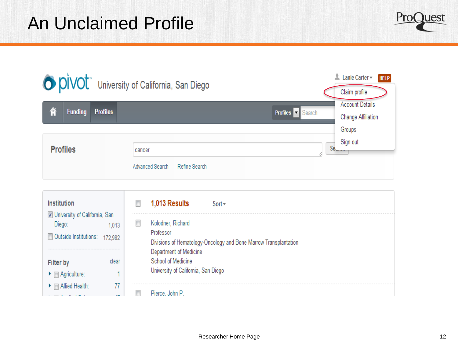

|   |                 |                 | O DIVOL University of California, San Diego | 土<br>Lanie Carter -<br><b>HELP</b><br>Claim profile                      |  |
|---|-----------------|-----------------|---------------------------------------------|--------------------------------------------------------------------------|--|
| 徻 | <b>Funding</b>  | <b>Profiles</b> |                                             | <b>Account Details</b><br>Profiles v Search<br><b>Change Affiliation</b> |  |
|   |                 |                 |                                             | Groups                                                                   |  |
|   | <b>Profiles</b> |                 | cancer                                      | Sign out<br>Se.                                                          |  |
|   |                 |                 | Advanced Search<br>Refine Search            |                                                                          |  |

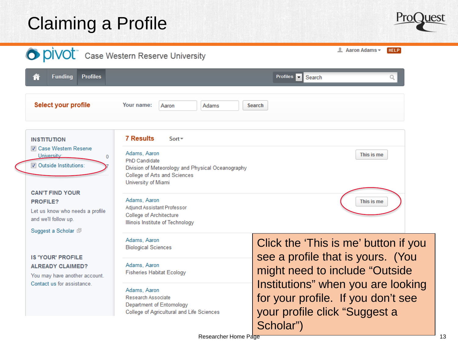# Claiming a Profile



|                                                                                                      | O DIVOL Case Western Reserve University                                                                                                                          | <b>L</b> Aaron Adams <del>▼</del><br><b>HELP</b>                                                                       |
|------------------------------------------------------------------------------------------------------|------------------------------------------------------------------------------------------------------------------------------------------------------------------|------------------------------------------------------------------------------------------------------------------------|
| ⋒<br><b>Funding</b><br><b>Profiles</b>                                                               |                                                                                                                                                                  | Profiles $\rightarrow$<br>Search                                                                                       |
| Select your profile                                                                                  | Your name:<br>Adams<br>Aaron                                                                                                                                     | Search                                                                                                                 |
| <b>INSTITUTION</b><br><b>■ Case Western Reserve</b>                                                  | <b>7 Results</b><br>$Sort =$                                                                                                                                     |                                                                                                                        |
| University:<br>Outside Institutions:                                                                 | Adams, Aaron<br>$\mathbf{0}$<br><b>PhD Candidate</b><br>Division of Meteorology and Physical Oceanography<br>College of Arts and Sciences<br>University of Miami | This is me                                                                                                             |
| <b>CAN'T FIND YOUR</b><br><b>PROFILE?</b><br>Let us know who needs a profile<br>and we'll follow up. | Adams, Aaron<br>Adjunct Assistant Professor<br><b>College of Architecture</b><br>Illinois Institute of Technology                                                | This is me                                                                                                             |
| Suggest a Scholar 回                                                                                  | Adams, Aaron<br><b>Biological Sciences</b>                                                                                                                       | Click the 'This is me' button if you                                                                                   |
| <b>IS 'YOUR' PROFILE</b><br><b>ALREADY CLAIMED?</b><br>You may have another account.                 | Adams, Aaron<br><b>Fisheries Habitat Ecology</b>                                                                                                                 | see a profile that is yours. (You<br>might need to include "Outside"                                                   |
| Contact us for assistance.                                                                           | Adams, Aaron<br>Research Associate<br>Department of Entomology<br>College of Agricultural and Life Sciences                                                      | Institutions" when you are looking<br>for your profile. If you don't see<br>your profile click "Suggest a<br>Scholar") |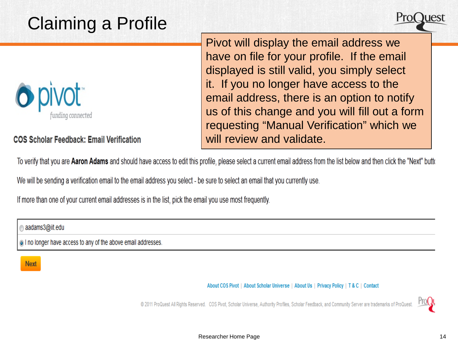# Claiming a Profile



**COS Scholar Feedback: Email Verification** 

Pivot will display the email address we have on file for your profile. If the email displayed is still valid, you simply select it. If you no longer have access to the email address, there is an option to notify us of this change and you will fill out a form requesting "Manual Verification" which we will review and validate.

To verify that you are Aaron Adams and should have access to edit this profile, please select a current email address from the list below and then click the "Next" butto

We will be sending a verification email to the email address you select - be sure to select an email that you currently use.

If more than one of your current email addresses is in the list, pick the email you use most frequently.

aadams3@iit.edu

ighthroater have access to any of the above email addresses.

**Next** 

About COS Pivot | About Scholar Universe | About Us | Privacy Policy | T & C | Contact

@ 2011 ProQuest All Rights Reserved. COS Pivot, Scholar Universe, Authority Profiles, Scholar Feedback, and Community Server are trademarks of Pr

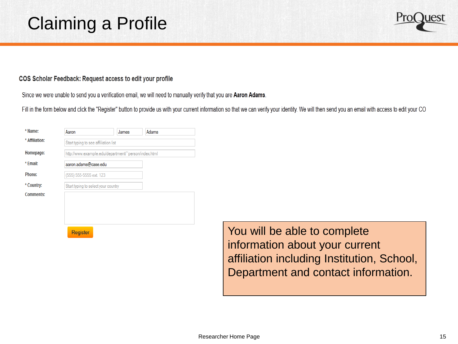

## COS Scholar Feedback: Request access to edit your profile

Since we were unable to send you a verification email, we will need to manually verify that you are Aaron Adams.

Fill in the form below and click the "Register" button to provide us with your current information so that we can verify your identity. We will then send you an email with access to edit your CO

| * Name:          | Aaron                                                | James | Adams |
|------------------|------------------------------------------------------|-------|-------|
| * Affiliation:   | Start typing to see affiliation list                 |       |       |
| Homepage:        | http://www.example.edu/department/~person/index.html |       |       |
| * Email:         | aaron.adams@case.edu                                 |       |       |
| Phone:           | (555) 555-5555 ext. 123                              |       |       |
| * Country:       | Start typing to select your country                  |       |       |
| <b>Comments:</b> |                                                      |       |       |
|                  |                                                      |       |       |
|                  |                                                      |       |       |
|                  | <b>Register</b>                                      |       |       |

You will be able to complete information about your current affiliation including Institution, School, Department and contact information.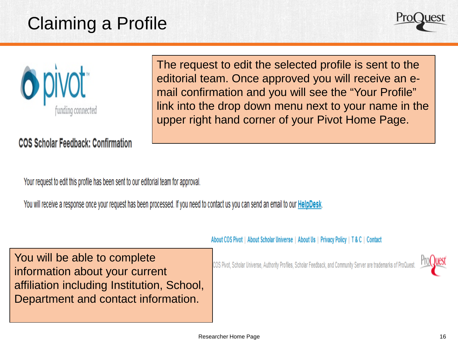# Claiming a Profile





**COS Scholar Feedback: Confirmation** 

The request to edit the selected profile is sent to the editorial team. Once approved you will receive an email confirmation and you will see the "Your Profile" link into the drop down menu next to your name in the upper right hand corner of your Pivot Home Page.

Your request to edit this profile has been sent to our editorial team for approval.

You will receive a response once your request has been processed. If you need to contact us you can send an email to our HelpDesk.

About COS Pivot | About Scholar Universe | About Us | Privacy Policy | T & C | Contact

You will be able to complete information about your current affiliation including Institution, School, Department and contact information.

COS Pivot, Scholar Universe, Authority Profiles, Scholar Feedback, and Community Server are trademarks of ProQi

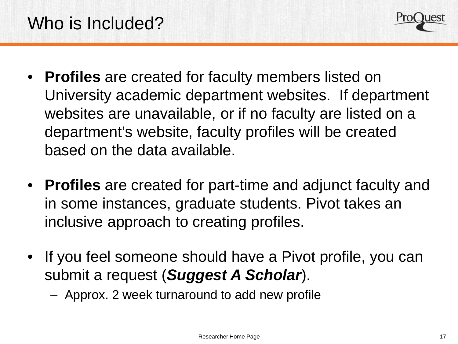

- **Profiles** are created for faculty members listed on University academic department websites. If department websites are unavailable, or if no faculty are listed on a department's website, faculty profiles will be created based on the data available.
- **Profiles** are created for part-time and adjunct faculty and in some instances, graduate students. Pivot takes an inclusive approach to creating profiles.
- If you feel someone should have a Pivot profile, you can submit a request (*Suggest A Scholar*).
	- Approx. 2 week turnaround to add new profile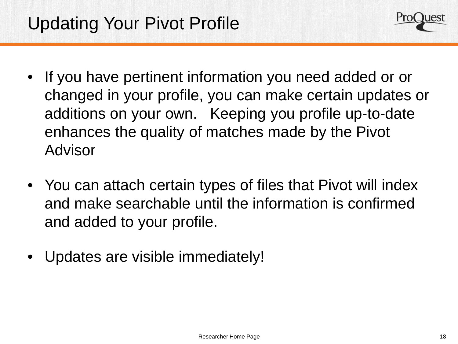

- If you have pertinent information you need added or or changed in your profile, you can make certain updates or additions on your own. Keeping you profile up-to-date enhances the quality of matches made by the Pivot Advisor
- You can attach certain types of files that Pivot will index and make searchable until the information is confirmed and added to your profile.
- Updates are visible immediately!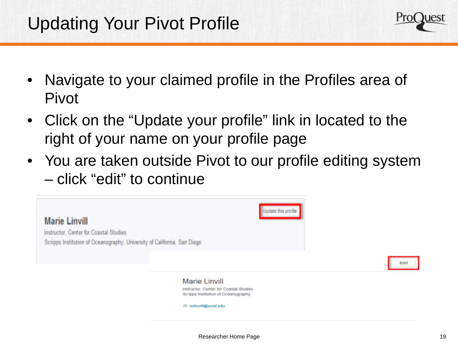

- Navigate to your claimed profile in the Profiles area of Pivot
- Click on the "Update your profile" link in located to the right of your name on your profile page
- You are taken outside Pivot to our profile editing system – click "edit" to continue

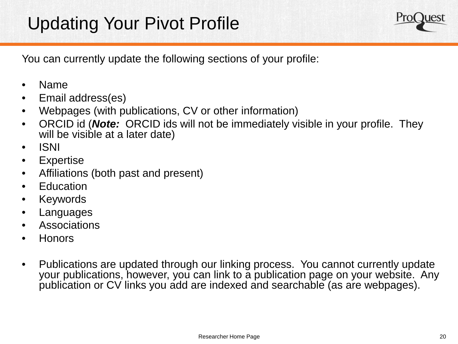# Updating Your Pivot Profile



You can currently update the following sections of your profile:

- Name
- Email address(es)
- Webpages (with publications, CV or other information)
- ORCID id (*Note:* ORCID ids will not be immediately visible in your profile. They will be visible at a later date)
- ISNI
- Expertise
- Affiliations (both past and present)
- **Education**
- Keywords
- **Languages**
- Associations
- Honors
- Publications are updated through our linking process. You cannot currently update your publications, however, you can link to a publication page on your website. Any publication or CV links you add are indexed and searchable (as are webpages).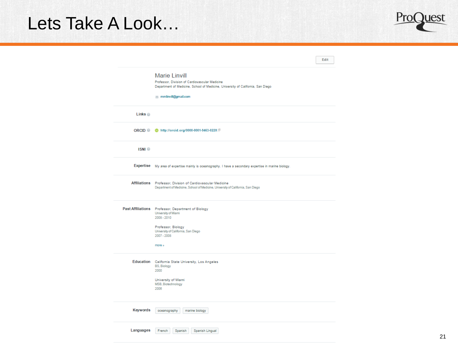## Lets Take A Look…



|                          |                                                                                                                                                                                    | Edit |
|--------------------------|------------------------------------------------------------------------------------------------------------------------------------------------------------------------------------|------|
|                          | <b>Marie Linvill</b><br>Professor, Division of Cardiovascular Medicine<br>Department of Medicine, School of Medicine, University of California, San Diego<br>mmlinvill@gmail.com   |      |
| Links <b>O</b>           |                                                                                                                                                                                    |      |
| ORCID <sup>®</sup>       | the http://orcid.org/0000-0001-9463-022X                                                                                                                                           |      |
| <b>ISNI</b> <sup>®</sup> |                                                                                                                                                                                    |      |
|                          | Expertise My area of expertise mainly is oceanography. I have a secondary expertise in marine biology.                                                                             |      |
|                          | Affiliations Professor, Division of Cardiovascular Medicine<br>Department of Medicine, School of Medicine, University of California, San Diego                                     |      |
|                          | Past Affiliations Professor, Department of Biology<br>University of Miami<br>$2008 - 2010$<br>Professor, Biology<br>University of California, San Diego<br>$2007 - 2008$<br>more » |      |
|                          | Education California State University, Los Angeles<br><b>BS, Biology</b><br>2000<br>University of Miami<br>MSB, Biotechnology<br>2006                                              |      |
| Keywords                 | oceanography<br>marine biology                                                                                                                                                     |      |
| Languages                | French<br>Spanish Lingual<br>Spanish                                                                                                                                               |      |